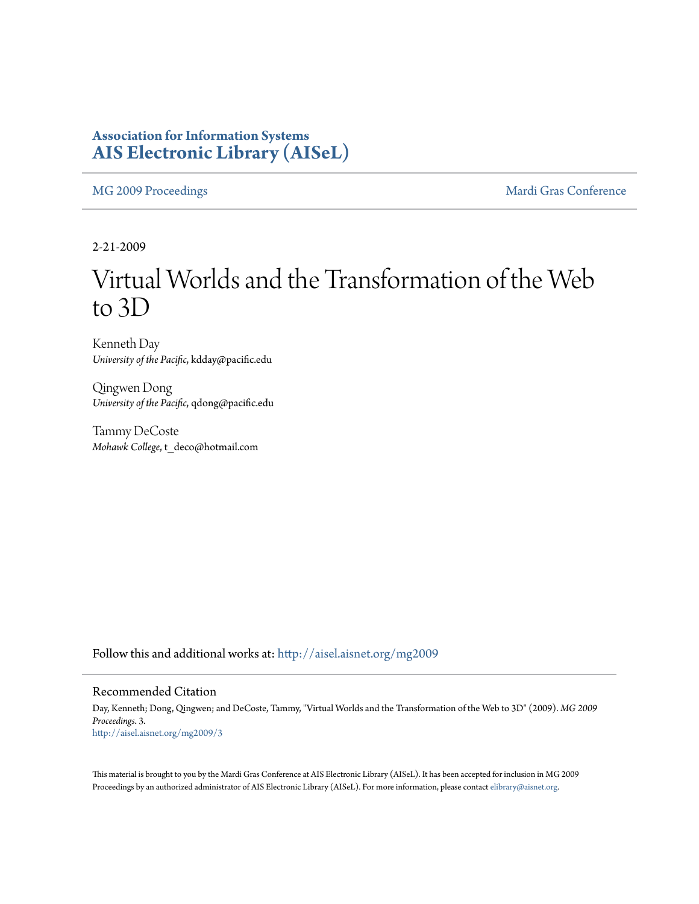### **Association for Information Systems [AIS Electronic Library \(AISeL\)](http://aisel.aisnet.org?utm_source=aisel.aisnet.org%2Fmg2009%2F3&utm_medium=PDF&utm_campaign=PDFCoverPages)**

[MG 2009 Proceedings](http://aisel.aisnet.org/mg2009?utm_source=aisel.aisnet.org%2Fmg2009%2F3&utm_medium=PDF&utm_campaign=PDFCoverPages) **[Mardi Gras Conference](http://aisel.aisnet.org/mg?utm_source=aisel.aisnet.org%2Fmg2009%2F3&utm_medium=PDF&utm_campaign=PDFCoverPages)** Mardi Gras Conference

2-21-2009

# Virtual Worlds and the Transformation of the Web to 3D

Kenneth Day *University of the Pacific*, kdday@pacific.edu

Qingwen Dong *University of the Pacific*, qdong@pacific.edu

Tammy DeCoste *Mohawk College*, t\_deco@hotmail.com

Follow this and additional works at: [http://aisel.aisnet.org/mg2009](http://aisel.aisnet.org/mg2009?utm_source=aisel.aisnet.org%2Fmg2009%2F3&utm_medium=PDF&utm_campaign=PDFCoverPages)

#### Recommended Citation

Day, Kenneth; Dong, Qingwen; and DeCoste, Tammy, "Virtual Worlds and the Transformation of the Web to 3D" (2009). *MG 2009 Proceedings*. 3. [http://aisel.aisnet.org/mg2009/3](http://aisel.aisnet.org/mg2009/3?utm_source=aisel.aisnet.org%2Fmg2009%2F3&utm_medium=PDF&utm_campaign=PDFCoverPages)

This material is brought to you by the Mardi Gras Conference at AIS Electronic Library (AISeL). It has been accepted for inclusion in MG 2009 Proceedings by an authorized administrator of AIS Electronic Library (AISeL). For more information, please contact [elibrary@aisnet.org](mailto:elibrary@aisnet.org%3E).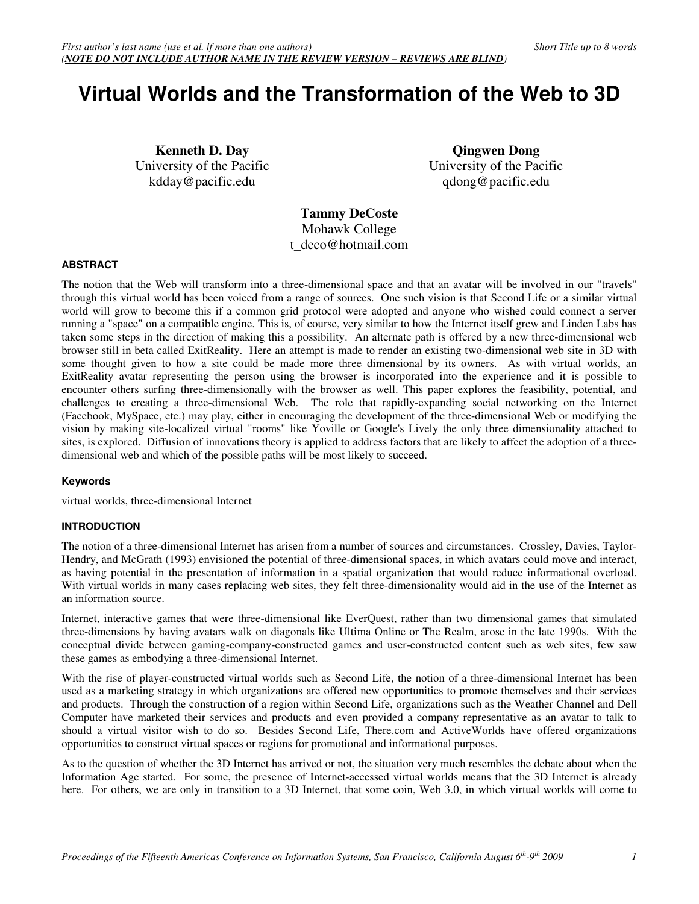## **Virtual Worlds and the Transformation of the Web to 3D**

**Kenneth D. Day**  University of the Pacific kdday@pacific.edu

**Qingwen Dong**  University of the Pacific qdong@pacific.edu

**Tammy DeCoste**  Mohawk College t\_deco@hotmail.com

#### **ABSTRACT**

The notion that the Web will transform into a three-dimensional space and that an avatar will be involved in our "travels" through this virtual world has been voiced from a range of sources. One such vision is that Second Life or a similar virtual world will grow to become this if a common grid protocol were adopted and anyone who wished could connect a server running a "space" on a compatible engine. This is, of course, very similar to how the Internet itself grew and Linden Labs has taken some steps in the direction of making this a possibility. An alternate path is offered by a new three-dimensional web browser still in beta called ExitReality. Here an attempt is made to render an existing two-dimensional web site in 3D with some thought given to how a site could be made more three dimensional by its owners. As with virtual worlds, an ExitReality avatar representing the person using the browser is incorporated into the experience and it is possible to encounter others surfing three-dimensionally with the browser as well. This paper explores the feasibility, potential, and challenges to creating a three-dimensional Web. The role that rapidly-expanding social networking on the Internet (Facebook, MySpace, etc.) may play, either in encouraging the development of the three-dimensional Web or modifying the vision by making site-localized virtual "rooms" like Yoville or Google's Lively the only three dimensionality attached to sites, is explored. Diffusion of innovations theory is applied to address factors that are likely to affect the adoption of a threedimensional web and which of the possible paths will be most likely to succeed.

#### **Keywords**

virtual worlds, three-dimensional Internet

#### **INTRODUCTION**

The notion of a three-dimensional Internet has arisen from a number of sources and circumstances. Crossley, Davies, Taylor-Hendry, and McGrath (1993) envisioned the potential of three-dimensional spaces, in which avatars could move and interact, as having potential in the presentation of information in a spatial organization that would reduce informational overload. With virtual worlds in many cases replacing web sites, they felt three-dimensionality would aid in the use of the Internet as an information source.

Internet, interactive games that were three-dimensional like EverQuest, rather than two dimensional games that simulated three-dimensions by having avatars walk on diagonals like Ultima Online or The Realm, arose in the late 1990s. With the conceptual divide between gaming-company-constructed games and user-constructed content such as web sites, few saw these games as embodying a three-dimensional Internet.

With the rise of player-constructed virtual worlds such as Second Life, the notion of a three-dimensional Internet has been used as a marketing strategy in which organizations are offered new opportunities to promote themselves and their services and products. Through the construction of a region within Second Life, organizations such as the Weather Channel and Dell Computer have marketed their services and products and even provided a company representative as an avatar to talk to should a virtual visitor wish to do so. Besides Second Life, There.com and ActiveWorlds have offered organizations opportunities to construct virtual spaces or regions for promotional and informational purposes.

As to the question of whether the 3D Internet has arrived or not, the situation very much resembles the debate about when the Information Age started. For some, the presence of Internet-accessed virtual worlds means that the 3D Internet is already here. For others, we are only in transition to a 3D Internet, that some coin, Web 3.0, in which virtual worlds will come to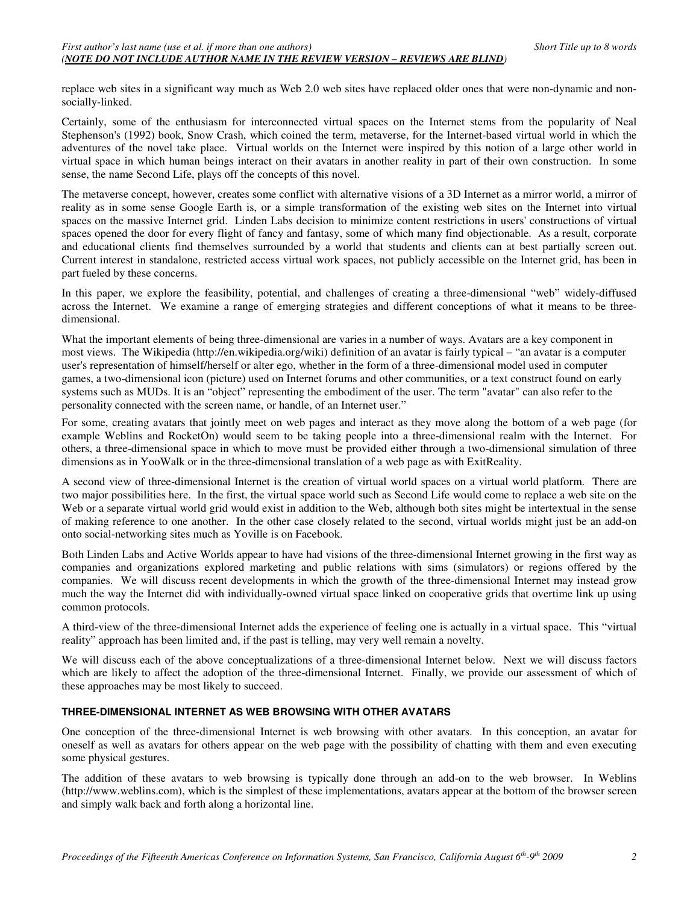replace web sites in a significant way much as Web 2.0 web sites have replaced older ones that were non-dynamic and nonsocially-linked.

Certainly, some of the enthusiasm for interconnected virtual spaces on the Internet stems from the popularity of Neal Stephenson's (1992) book, Snow Crash, which coined the term, metaverse, for the Internet-based virtual world in which the adventures of the novel take place. Virtual worlds on the Internet were inspired by this notion of a large other world in virtual space in which human beings interact on their avatars in another reality in part of their own construction. In some sense, the name Second Life, plays off the concepts of this novel.

The metaverse concept, however, creates some conflict with alternative visions of a 3D Internet as a mirror world, a mirror of reality as in some sense Google Earth is, or a simple transformation of the existing web sites on the Internet into virtual spaces on the massive Internet grid. Linden Labs decision to minimize content restrictions in users' constructions of virtual spaces opened the door for every flight of fancy and fantasy, some of which many find objectionable. As a result, corporate and educational clients find themselves surrounded by a world that students and clients can at best partially screen out. Current interest in standalone, restricted access virtual work spaces, not publicly accessible on the Internet grid, has been in part fueled by these concerns.

In this paper, we explore the feasibility, potential, and challenges of creating a three-dimensional "web" widely-diffused across the Internet. We examine a range of emerging strategies and different conceptions of what it means to be threedimensional.

What the important elements of being three-dimensional are varies in a number of ways. Avatars are a key component in most views. The Wikipedia (http://en.wikipedia.org/wiki) definition of an avatar is fairly typical – "an avatar is a computer user's representation of himself/herself or alter ego, whether in the form of a three-dimensional model used in computer games, a two-dimensional icon (picture) used on Internet forums and other communities, or a text construct found on early systems such as MUDs. It is an "object" representing the embodiment of the user. The term "avatar" can also refer to the personality connected with the screen name, or handle, of an Internet user."

For some, creating avatars that jointly meet on web pages and interact as they move along the bottom of a web page (for example Weblins and RocketOn) would seem to be taking people into a three-dimensional realm with the Internet. For others, a three-dimensional space in which to move must be provided either through a two-dimensional simulation of three dimensions as in YooWalk or in the three-dimensional translation of a web page as with ExitReality.

A second view of three-dimensional Internet is the creation of virtual world spaces on a virtual world platform. There are two major possibilities here. In the first, the virtual space world such as Second Life would come to replace a web site on the Web or a separate virtual world grid would exist in addition to the Web, although both sites might be intertextual in the sense of making reference to one another. In the other case closely related to the second, virtual worlds might just be an add-on onto social-networking sites much as Yoville is on Facebook.

Both Linden Labs and Active Worlds appear to have had visions of the three-dimensional Internet growing in the first way as companies and organizations explored marketing and public relations with sims (simulators) or regions offered by the companies. We will discuss recent developments in which the growth of the three-dimensional Internet may instead grow much the way the Internet did with individually-owned virtual space linked on cooperative grids that overtime link up using common protocols.

A third-view of the three-dimensional Internet adds the experience of feeling one is actually in a virtual space. This "virtual reality" approach has been limited and, if the past is telling, may very well remain a novelty.

We will discuss each of the above conceptualizations of a three-dimensional Internet below. Next we will discuss factors which are likely to affect the adoption of the three-dimensional Internet. Finally, we provide our assessment of which of these approaches may be most likely to succeed.

#### **THREE-DIMENSIONAL INTERNET AS WEB BROWSING WITH OTHER AVATARS**

One conception of the three-dimensional Internet is web browsing with other avatars. In this conception, an avatar for oneself as well as avatars for others appear on the web page with the possibility of chatting with them and even executing some physical gestures.

The addition of these avatars to web browsing is typically done through an add-on to the web browser. In Weblins (http://www.weblins.com), which is the simplest of these implementations, avatars appear at the bottom of the browser screen and simply walk back and forth along a horizontal line.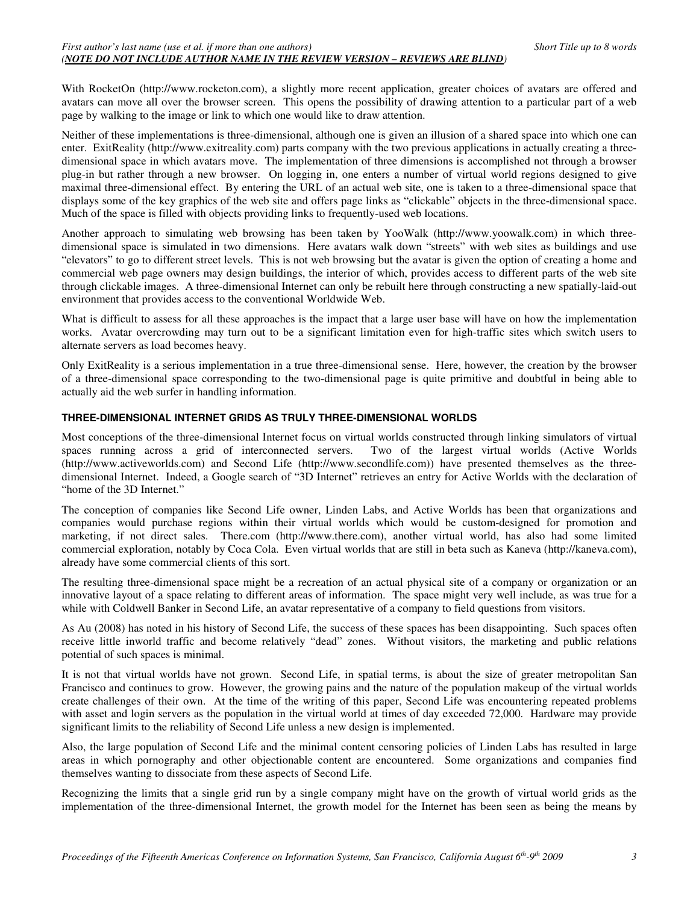With RocketOn (http://www.rocketon.com), a slightly more recent application, greater choices of avatars are offered and avatars can move all over the browser screen. This opens the possibility of drawing attention to a particular part of a web page by walking to the image or link to which one would like to draw attention.

Neither of these implementations is three-dimensional, although one is given an illusion of a shared space into which one can enter. ExitReality (http://www.exitreality.com) parts company with the two previous applications in actually creating a threedimensional space in which avatars move. The implementation of three dimensions is accomplished not through a browser plug-in but rather through a new browser. On logging in, one enters a number of virtual world regions designed to give maximal three-dimensional effect. By entering the URL of an actual web site, one is taken to a three-dimensional space that displays some of the key graphics of the web site and offers page links as "clickable" objects in the three-dimensional space. Much of the space is filled with objects providing links to frequently-used web locations.

Another approach to simulating web browsing has been taken by YooWalk (http://www.yoowalk.com) in which threedimensional space is simulated in two dimensions. Here avatars walk down "streets" with web sites as buildings and use "elevators" to go to different street levels. This is not web browsing but the avatar is given the option of creating a home and commercial web page owners may design buildings, the interior of which, provides access to different parts of the web site through clickable images. A three-dimensional Internet can only be rebuilt here through constructing a new spatially-laid-out environment that provides access to the conventional Worldwide Web.

What is difficult to assess for all these approaches is the impact that a large user base will have on how the implementation works. Avatar overcrowding may turn out to be a significant limitation even for high-traffic sites which switch users to alternate servers as load becomes heavy.

Only ExitReality is a serious implementation in a true three-dimensional sense. Here, however, the creation by the browser of a three-dimensional space corresponding to the two-dimensional page is quite primitive and doubtful in being able to actually aid the web surfer in handling information.

#### **THREE-DIMENSIONAL INTERNET GRIDS AS TRULY THREE-DIMENSIONAL WORLDS**

Most conceptions of the three-dimensional Internet focus on virtual worlds constructed through linking simulators of virtual spaces running across a grid of interconnected servers. Two of the largest virtual worlds (Active Worlds (http://www.activeworlds.com) and Second Life (http://www.secondlife.com)) have presented themselves as the threedimensional Internet. Indeed, a Google search of "3D Internet" retrieves an entry for Active Worlds with the declaration of "home of the 3D Internet."

The conception of companies like Second Life owner, Linden Labs, and Active Worlds has been that organizations and companies would purchase regions within their virtual worlds which would be custom-designed for promotion and marketing, if not direct sales. There.com (http://www.there.com), another virtual world, has also had some limited commercial exploration, notably by Coca Cola. Even virtual worlds that are still in beta such as Kaneva (http://kaneva.com), already have some commercial clients of this sort.

The resulting three-dimensional space might be a recreation of an actual physical site of a company or organization or an innovative layout of a space relating to different areas of information. The space might very well include, as was true for a while with Coldwell Banker in Second Life, an avatar representative of a company to field questions from visitors.

As Au (2008) has noted in his history of Second Life, the success of these spaces has been disappointing. Such spaces often receive little inworld traffic and become relatively "dead" zones. Without visitors, the marketing and public relations potential of such spaces is minimal.

It is not that virtual worlds have not grown. Second Life, in spatial terms, is about the size of greater metropolitan San Francisco and continues to grow. However, the growing pains and the nature of the population makeup of the virtual worlds create challenges of their own. At the time of the writing of this paper, Second Life was encountering repeated problems with asset and login servers as the population in the virtual world at times of day exceeded 72,000. Hardware may provide significant limits to the reliability of Second Life unless a new design is implemented.

Also, the large population of Second Life and the minimal content censoring policies of Linden Labs has resulted in large areas in which pornography and other objectionable content are encountered. Some organizations and companies find themselves wanting to dissociate from these aspects of Second Life.

Recognizing the limits that a single grid run by a single company might have on the growth of virtual world grids as the implementation of the three-dimensional Internet, the growth model for the Internet has been seen as being the means by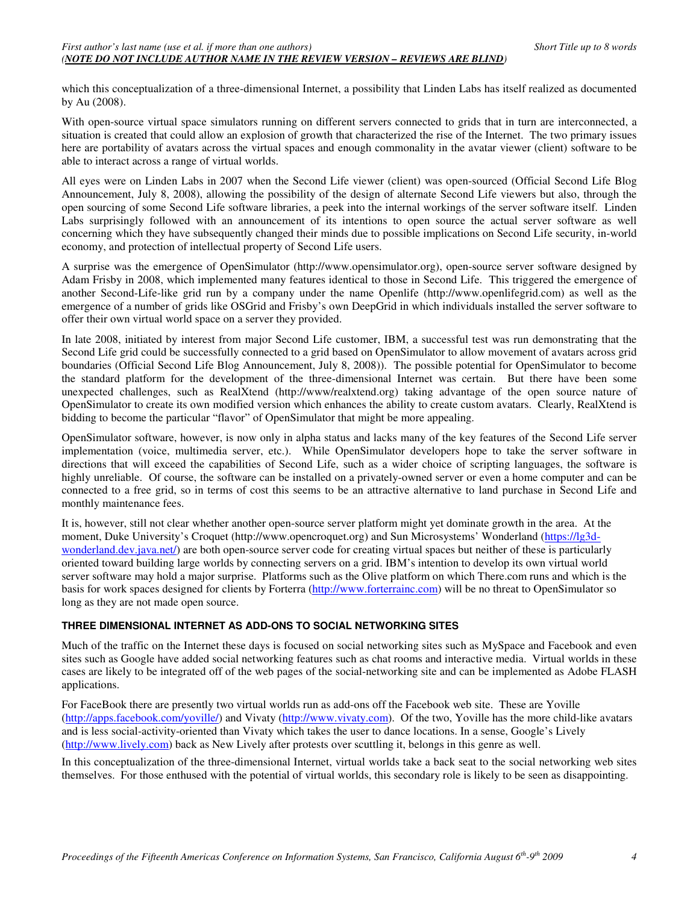which this conceptualization of a three-dimensional Internet, a possibility that Linden Labs has itself realized as documented by Au (2008).

With open-source virtual space simulators running on different servers connected to grids that in turn are interconnected, a situation is created that could allow an explosion of growth that characterized the rise of the Internet. The two primary issues here are portability of avatars across the virtual spaces and enough commonality in the avatar viewer (client) software to be able to interact across a range of virtual worlds.

All eyes were on Linden Labs in 2007 when the Second Life viewer (client) was open-sourced (Official Second Life Blog Announcement, July 8, 2008), allowing the possibility of the design of alternate Second Life viewers but also, through the open sourcing of some Second Life software libraries, a peek into the internal workings of the server software itself. Linden Labs surprisingly followed with an announcement of its intentions to open source the actual server software as well concerning which they have subsequently changed their minds due to possible implications on Second Life security, in-world economy, and protection of intellectual property of Second Life users.

A surprise was the emergence of OpenSimulator (http://www.opensimulator.org), open-source server software designed by Adam Frisby in 2008, which implemented many features identical to those in Second Life. This triggered the emergence of another Second-Life-like grid run by a company under the name Openlife (http://www.openlifegrid.com) as well as the emergence of a number of grids like OSGrid and Frisby's own DeepGrid in which individuals installed the server software to offer their own virtual world space on a server they provided.

In late 2008, initiated by interest from major Second Life customer, IBM, a successful test was run demonstrating that the Second Life grid could be successfully connected to a grid based on OpenSimulator to allow movement of avatars across grid boundaries (Official Second Life Blog Announcement, July 8, 2008)). The possible potential for OpenSimulator to become the standard platform for the development of the three-dimensional Internet was certain. But there have been some unexpected challenges, such as RealXtend (http://www/realxtend.org) taking advantage of the open source nature of OpenSimulator to create its own modified version which enhances the ability to create custom avatars. Clearly, RealXtend is bidding to become the particular "flavor" of OpenSimulator that might be more appealing.

OpenSimulator software, however, is now only in alpha status and lacks many of the key features of the Second Life server implementation (voice, multimedia server, etc.). While OpenSimulator developers hope to take the server software in directions that will exceed the capabilities of Second Life, such as a wider choice of scripting languages, the software is highly unreliable. Of course, the software can be installed on a privately-owned server or even a home computer and can be connected to a free grid, so in terms of cost this seems to be an attractive alternative to land purchase in Second Life and monthly maintenance fees.

It is, however, still not clear whether another open-source server platform might yet dominate growth in the area. At the moment, Duke University's Croquet (http://www.opencroquet.org) and Sun Microsystems' Wonderland (https://lg3dwonderland.dev.java.net/) are both open-source server code for creating virtual spaces but neither of these is particularly oriented toward building large worlds by connecting servers on a grid. IBM's intention to develop its own virtual world server software may hold a major surprise. Platforms such as the Olive platform on which There.com runs and which is the basis for work spaces designed for clients by Forterra (http://www.forterrainc.com) will be no threat to OpenSimulator so long as they are not made open source.

#### **THREE DIMENSIONAL INTERNET AS ADD-ONS TO SOCIAL NETWORKING SITES**

Much of the traffic on the Internet these days is focused on social networking sites such as MySpace and Facebook and even sites such as Google have added social networking features such as chat rooms and interactive media. Virtual worlds in these cases are likely to be integrated off of the web pages of the social-networking site and can be implemented as Adobe FLASH applications.

For FaceBook there are presently two virtual worlds run as add-ons off the Facebook web site. These are Yoville (http://apps.facebook.com/yoville/) and Vivaty (http://www.vivaty.com). Of the two, Yoville has the more child-like avatars and is less social-activity-oriented than Vivaty which takes the user to dance locations. In a sense, Google's Lively (http://www.lively.com) back as New Lively after protests over scuttling it, belongs in this genre as well.

In this conceptualization of the three-dimensional Internet, virtual worlds take a back seat to the social networking web sites themselves. For those enthused with the potential of virtual worlds, this secondary role is likely to be seen as disappointing.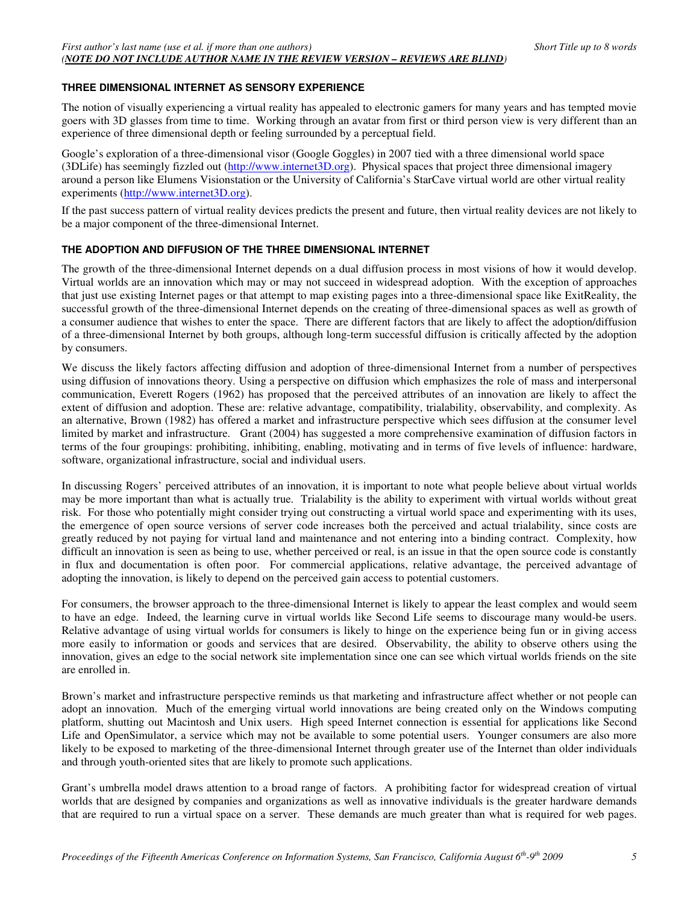#### **THREE DIMENSIONAL INTERNET AS SENSORY EXPERIENCE**

The notion of visually experiencing a virtual reality has appealed to electronic gamers for many years and has tempted movie goers with 3D glasses from time to time. Working through an avatar from first or third person view is very different than an experience of three dimensional depth or feeling surrounded by a perceptual field.

Google's exploration of a three-dimensional visor (Google Goggles) in 2007 tied with a three dimensional world space (3DLife) has seemingly fizzled out (http://www.internet3D.org). Physical spaces that project three dimensional imagery around a person like Elumens Visionstation or the University of California's StarCave virtual world are other virtual reality experiments (http://www.internet3D.org).

If the past success pattern of virtual reality devices predicts the present and future, then virtual reality devices are not likely to be a major component of the three-dimensional Internet.

#### **THE ADOPTION AND DIFFUSION OF THE THREE DIMENSIONAL INTERNET**

The growth of the three-dimensional Internet depends on a dual diffusion process in most visions of how it would develop. Virtual worlds are an innovation which may or may not succeed in widespread adoption. With the exception of approaches that just use existing Internet pages or that attempt to map existing pages into a three-dimensional space like ExitReality, the successful growth of the three-dimensional Internet depends on the creating of three-dimensional spaces as well as growth of a consumer audience that wishes to enter the space. There are different factors that are likely to affect the adoption/diffusion of a three-dimensional Internet by both groups, although long-term successful diffusion is critically affected by the adoption by consumers.

We discuss the likely factors affecting diffusion and adoption of three-dimensional Internet from a number of perspectives using diffusion of innovations theory. Using a perspective on diffusion which emphasizes the role of mass and interpersonal communication, Everett Rogers (1962) has proposed that the perceived attributes of an innovation are likely to affect the extent of diffusion and adoption. These are: relative advantage, compatibility, trialability, observability, and complexity. As an alternative, Brown (1982) has offered a market and infrastructure perspective which sees diffusion at the consumer level limited by market and infrastructure. Grant (2004) has suggested a more comprehensive examination of diffusion factors in terms of the four groupings: prohibiting, inhibiting, enabling, motivating and in terms of five levels of influence: hardware, software, organizational infrastructure, social and individual users.

In discussing Rogers' perceived attributes of an innovation, it is important to note what people believe about virtual worlds may be more important than what is actually true. Trialability is the ability to experiment with virtual worlds without great risk. For those who potentially might consider trying out constructing a virtual world space and experimenting with its uses, the emergence of open source versions of server code increases both the perceived and actual trialability, since costs are greatly reduced by not paying for virtual land and maintenance and not entering into a binding contract. Complexity, how difficult an innovation is seen as being to use, whether perceived or real, is an issue in that the open source code is constantly in flux and documentation is often poor. For commercial applications, relative advantage, the perceived advantage of adopting the innovation, is likely to depend on the perceived gain access to potential customers.

For consumers, the browser approach to the three-dimensional Internet is likely to appear the least complex and would seem to have an edge. Indeed, the learning curve in virtual worlds like Second Life seems to discourage many would-be users. Relative advantage of using virtual worlds for consumers is likely to hinge on the experience being fun or in giving access more easily to information or goods and services that are desired. Observability, the ability to observe others using the innovation, gives an edge to the social network site implementation since one can see which virtual worlds friends on the site are enrolled in.

Brown's market and infrastructure perspective reminds us that marketing and infrastructure affect whether or not people can adopt an innovation. Much of the emerging virtual world innovations are being created only on the Windows computing platform, shutting out Macintosh and Unix users. High speed Internet connection is essential for applications like Second Life and OpenSimulator, a service which may not be available to some potential users. Younger consumers are also more likely to be exposed to marketing of the three-dimensional Internet through greater use of the Internet than older individuals and through youth-oriented sites that are likely to promote such applications.

Grant's umbrella model draws attention to a broad range of factors. A prohibiting factor for widespread creation of virtual worlds that are designed by companies and organizations as well as innovative individuals is the greater hardware demands that are required to run a virtual space on a server. These demands are much greater than what is required for web pages.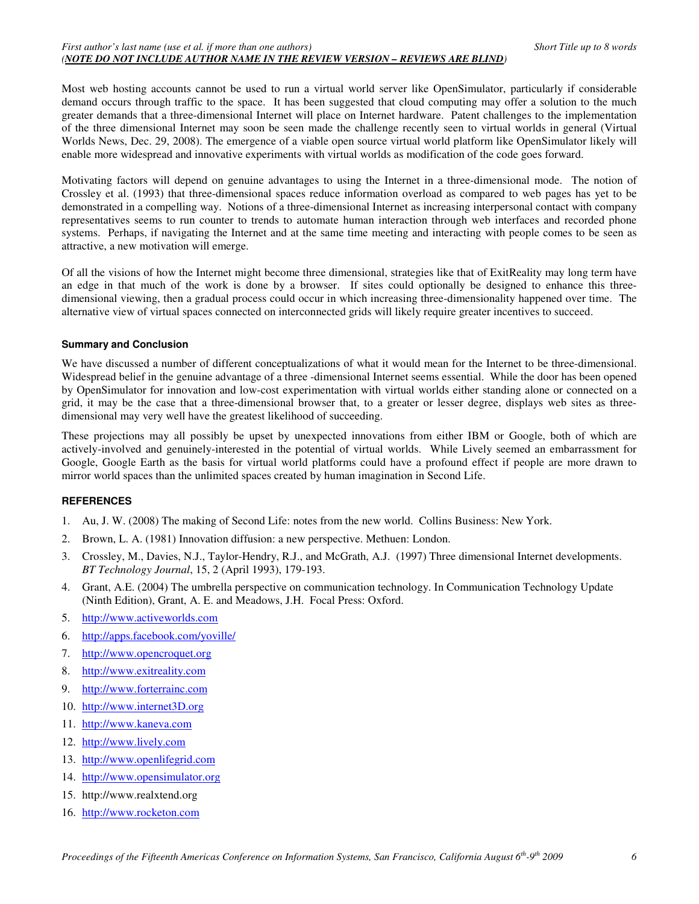Most web hosting accounts cannot be used to run a virtual world server like OpenSimulator, particularly if considerable demand occurs through traffic to the space. It has been suggested that cloud computing may offer a solution to the much greater demands that a three-dimensional Internet will place on Internet hardware. Patent challenges to the implementation of the three dimensional Internet may soon be seen made the challenge recently seen to virtual worlds in general (Virtual Worlds News, Dec. 29, 2008). The emergence of a viable open source virtual world platform like OpenSimulator likely will enable more widespread and innovative experiments with virtual worlds as modification of the code goes forward.

Motivating factors will depend on genuine advantages to using the Internet in a three-dimensional mode. The notion of Crossley et al. (1993) that three-dimensional spaces reduce information overload as compared to web pages has yet to be demonstrated in a compelling way. Notions of a three-dimensional Internet as increasing interpersonal contact with company representatives seems to run counter to trends to automate human interaction through web interfaces and recorded phone systems. Perhaps, if navigating the Internet and at the same time meeting and interacting with people comes to be seen as attractive, a new motivation will emerge.

Of all the visions of how the Internet might become three dimensional, strategies like that of ExitReality may long term have an edge in that much of the work is done by a browser. If sites could optionally be designed to enhance this threedimensional viewing, then a gradual process could occur in which increasing three-dimensionality happened over time. The alternative view of virtual spaces connected on interconnected grids will likely require greater incentives to succeed.

#### **Summary and Conclusion**

We have discussed a number of different conceptualizations of what it would mean for the Internet to be three-dimensional. Widespread belief in the genuine advantage of a three -dimensional Internet seems essential. While the door has been opened by OpenSimulator for innovation and low-cost experimentation with virtual worlds either standing alone or connected on a grid, it may be the case that a three-dimensional browser that, to a greater or lesser degree, displays web sites as threedimensional may very well have the greatest likelihood of succeeding.

These projections may all possibly be upset by unexpected innovations from either IBM or Google, both of which are actively-involved and genuinely-interested in the potential of virtual worlds. While Lively seemed an embarrassment for Google, Google Earth as the basis for virtual world platforms could have a profound effect if people are more drawn to mirror world spaces than the unlimited spaces created by human imagination in Second Life.

#### **REFERENCES**

- 1. Au, J. W. (2008) The making of Second Life: notes from the new world. Collins Business: New York.
- 2. Brown, L. A. (1981) Innovation diffusion: a new perspective. Methuen: London.
- 3. Crossley, M., Davies, N.J., Taylor-Hendry, R.J., and McGrath, A.J. (1997) Three dimensional Internet developments. *BT Technology Journal*, 15, 2 (April 1993), 179-193.
- 4. Grant, A.E. (2004) The umbrella perspective on communication technology. In Communication Technology Update (Ninth Edition), Grant, A. E. and Meadows, J.H. Focal Press: Oxford.
- 5. http://www.activeworlds.com
- 6. http://apps.facebook.com/yoville/
- 7. http://www.opencroquet.org
- 8. http://www.exitreality.com
- 9. http://www.forterrainc.com
- 10. http://www.internet3D.org
- 11. http://www.kaneva.com
- 12. http://www.lively.com
- 13. http://www.openlifegrid.com
- 14. http://www.opensimulator.org
- 15. http://www.realxtend.org
- 16. http://www.rocketon.com